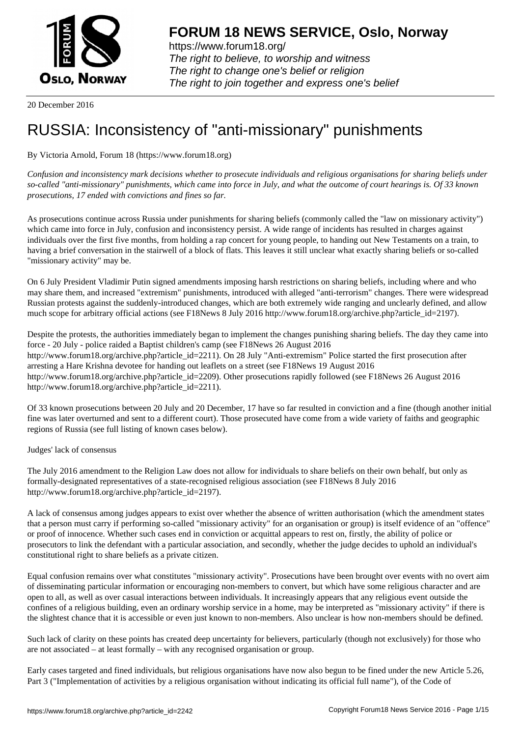

https://www.forum18.org/ The right to believe, to worship and witness The right to change one's belief or religion [The right to join together a](https://www.forum18.org/)nd express one's belief

20 December 2016

## [RUSSIA: Incons](https://www.forum18.org)istency of "anti-missionary" punishments

By Victoria Arnold, Forum 18 (https://www.forum18.org)

*Confusion and inconsistency mark decisions whether to prosecute individuals and religious organisations for sharing beliefs under so-called "anti-missionary" punishments, which came into force in July, and what the outcome of court hearings is. Of 33 known prosecutions, 17 ended with convictions and fines so far.*

As prosecutions continue across Russia under punishments for sharing beliefs (commonly called the "law on missionary activity") which came into force in July, confusion and inconsistency persist. A wide range of incidents has resulted in charges against individuals over the first five months, from holding a rap concert for young people, to handing out New Testaments on a train, to having a brief conversation in the stairwell of a block of flats. This leaves it still unclear what exactly sharing beliefs or so-called "missionary activity" may be.

On 6 July President Vladimir Putin signed amendments imposing harsh restrictions on sharing beliefs, including where and who may share them, and increased "extremism" punishments, introduced with alleged "anti-terrorism" changes. There were widespread Russian protests against the suddenly-introduced changes, which are both extremely wide ranging and unclearly defined, and allow much scope for arbitrary official actions (see F18News 8 July 2016 http://www.forum18.org/archive.php?article\_id=2197).

Despite the protests, the authorities immediately began to implement the changes punishing sharing beliefs. The day they came into force - 20 July - police raided a Baptist children's camp (see F18News 26 August 2016 http://www.forum18.org/archive.php?article\_id=2211). On 28 July "Anti-extremism" Police started the first prosecution after arresting a Hare Krishna devotee for handing out leaflets on a street (see F18News 19 August 2016 http://www.forum18.org/archive.php?article\_id=2209). Other prosecutions rapidly followed (see F18News 26 August 2016 http://www.forum18.org/archive.php?article\_id=2211).

Of 33 known prosecutions between 20 July and 20 December, 17 have so far resulted in conviction and a fine (though another initial fine was later overturned and sent to a different court). Those prosecuted have come from a wide variety of faiths and geographic regions of Russia (see full listing of known cases below).

Judges' lack of consensus

The July 2016 amendment to the Religion Law does not allow for individuals to share beliefs on their own behalf, but only as formally-designated representatives of a state-recognised religious association (see F18News 8 July 2016 http://www.forum18.org/archive.php?article\_id=2197).

A lack of consensus among judges appears to exist over whether the absence of written authorisation (which the amendment states that a person must carry if performing so-called "missionary activity" for an organisation or group) is itself evidence of an "offence" or proof of innocence. Whether such cases end in conviction or acquittal appears to rest on, firstly, the ability of police or prosecutors to link the defendant with a particular association, and secondly, whether the judge decides to uphold an individual's constitutional right to share beliefs as a private citizen.

Equal confusion remains over what constitutes "missionary activity". Prosecutions have been brought over events with no overt aim of disseminating particular information or encouraging non-members to convert, but which have some religious character and are open to all, as well as over casual interactions between individuals. It increasingly appears that any religious event outside the confines of a religious building, even an ordinary worship service in a home, may be interpreted as "missionary activity" if there is the slightest chance that it is accessible or even just known to non-members. Also unclear is how non-members should be defined.

Such lack of clarity on these points has created deep uncertainty for believers, particularly (though not exclusively) for those who are not associated – at least formally – with any recognised organisation or group.

Early cases targeted and fined individuals, but religious organisations have now also begun to be fined under the new Article 5.26, Part 3 ("Implementation of activities by a religious organisation without indicating its official full name"), of the Code of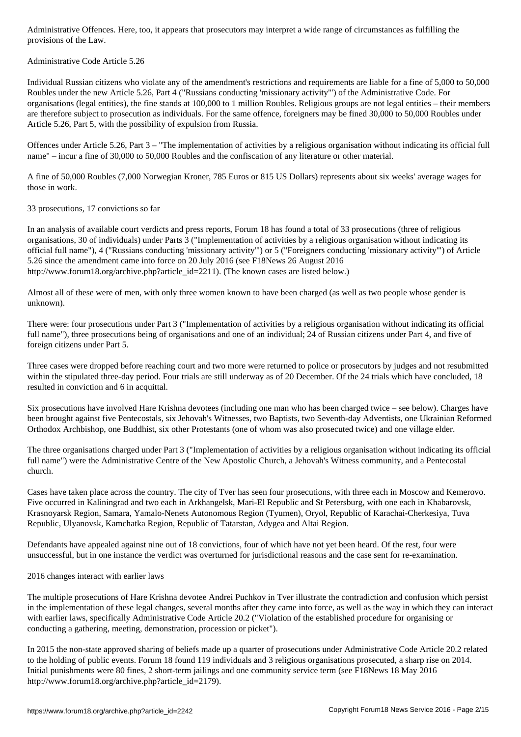Administrative Code Article 5.26

 $\mathbf{I}$ 

Individual Russian citizens who violate any of the amendment's restrictions and requirements are liable for a fine of 5,000 to 50,000 Roubles under the new Article 5.26, Part 4 ("Russians conducting 'missionary activity'") of the Administrative Code. For organisations (legal entities), the fine stands at 100,000 to 1 million Roubles. Religious groups are not legal entities – their members are therefore subject to prosecution as individuals. For the same offence, foreigners may be fined 30,000 to 50,000 Roubles under Article 5.26, Part 5, with the possibility of expulsion from Russia.

Offences under Article 5.26, Part 3 – "The implementation of activities by a religious organisation without indicating its official full name" – incur a fine of 30,000 to 50,000 Roubles and the confiscation of any literature or other material.

A fine of 50,000 Roubles (7,000 Norwegian Kroner, 785 Euros or 815 US Dollars) represents about six weeks' average wages for those in work.

33 prosecutions, 17 convictions so far

In an analysis of available court verdicts and press reports, Forum 18 has found a total of 33 prosecutions (three of religious organisations, 30 of individuals) under Parts 3 ("Implementation of activities by a religious organisation without indicating its official full name"), 4 ("Russians conducting 'missionary activity'") or 5 ("Foreigners conducting 'missionary activity'") of Article 5.26 since the amendment came into force on 20 July 2016 (see F18News 26 August 2016 http://www.forum18.org/archive.php?article\_id=2211). (The known cases are listed below.)

Almost all of these were of men, with only three women known to have been charged (as well as two people whose gender is unknown).

There were: four prosecutions under Part 3 ("Implementation of activities by a religious organisation without indicating its official full name"), three prosecutions being of organisations and one of an individual; 24 of Russian citizens under Part 4, and five of foreign citizens under Part 5.

Three cases were dropped before reaching court and two more were returned to police or prosecutors by judges and not resubmitted within the stipulated three-day period. Four trials are still underway as of 20 December. Of the 24 trials which have concluded, 18 resulted in conviction and 6 in acquittal.

Six prosecutions have involved Hare Krishna devotees (including one man who has been charged twice – see below). Charges have been brought against five Pentecostals, six Jehovah's Witnesses, two Baptists, two Seventh-day Adventists, one Ukrainian Reformed Orthodox Archbishop, one Buddhist, six other Protestants (one of whom was also prosecuted twice) and one village elder.

The three organisations charged under Part 3 ("Implementation of activities by a religious organisation without indicating its official full name") were the Administrative Centre of the New Apostolic Church, a Jehovah's Witness community, and a Pentecostal church.

Cases have taken place across the country. The city of Tver has seen four prosecutions, with three each in Moscow and Kemerovo. Five occurred in Kaliningrad and two each in Arkhangelsk, Mari-El Republic and St Petersburg, with one each in Khabarovsk, Krasnoyarsk Region, Samara, Yamalo-Nenets Autonomous Region (Tyumen), Oryol, Republic of Karachai-Cherkesiya, Tuva Republic, Ulyanovsk, Kamchatka Region, Republic of Tatarstan, Adygea and Altai Region.

Defendants have appealed against nine out of 18 convictions, four of which have not yet been heard. Of the rest, four were unsuccessful, but in one instance the verdict was overturned for jurisdictional reasons and the case sent for re-examination.

2016 changes interact with earlier laws

The multiple prosecutions of Hare Krishna devotee Andrei Puchkov in Tver illustrate the contradiction and confusion which persist in the implementation of these legal changes, several months after they came into force, as well as the way in which they can interact with earlier laws, specifically Administrative Code Article 20.2 ("Violation of the established procedure for organising or conducting a gathering, meeting, demonstration, procession or picket").

In 2015 the non-state approved sharing of beliefs made up a quarter of prosecutions under Administrative Code Article 20.2 related to the holding of public events. Forum 18 found 119 individuals and 3 religious organisations prosecuted, a sharp rise on 2014. Initial punishments were 80 fines, 2 short-term jailings and one community service term (see F18News 18 May 2016 http://www.forum18.org/archive.php?article\_id=2179).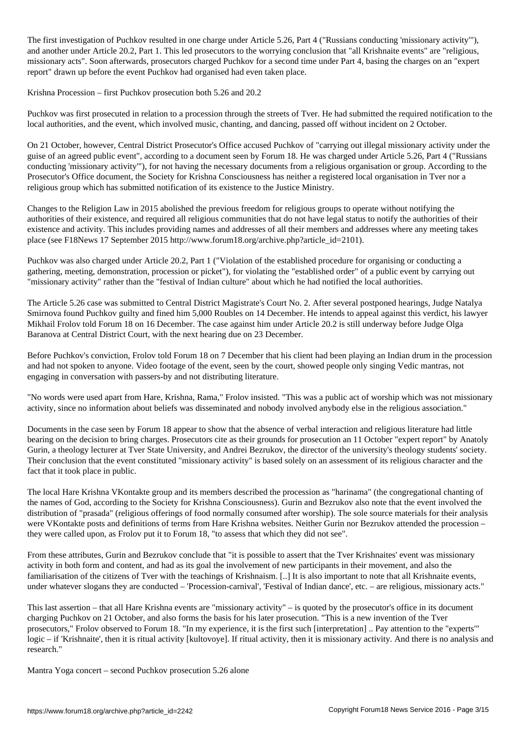The first investigation of Puchkov resulted in one charge under Article 5.26, Part 4 ("Russians conducting 'missionary activity'"), and another under Article 20.2, Part 1. This led prosecutors to the worrying conclusion that "all Krishnaite events" are "religious, missionary acts". Soon afterwards, prosecutors charged Puchkov for a second time under Part 4, basing the charges on an "expert report" drawn up before the event Puchkov had organised had even taken place.

Krishna Procession – first Puchkov prosecution both 5.26 and 20.2

Puchkov was first prosecuted in relation to a procession through the streets of Tver. He had submitted the required notification to the local authorities, and the event, which involved music, chanting, and dancing, passed off without incident on 2 October.

On 21 October, however, Central District Prosecutor's Office accused Puchkov of "carrying out illegal missionary activity under the guise of an agreed public event", according to a document seen by Forum 18. He was charged under Article 5.26, Part 4 ("Russians conducting 'missionary activity'"), for not having the necessary documents from a religious organisation or group. According to the Prosecutor's Office document, the Society for Krishna Consciousness has neither a registered local organisation in Tver nor a religious group which has submitted notification of its existence to the Justice Ministry.

Changes to the Religion Law in 2015 abolished the previous freedom for religious groups to operate without notifying the authorities of their existence, and required all religious communities that do not have legal status to notify the authorities of their existence and activity. This includes providing names and addresses of all their members and addresses where any meeting takes place (see F18News 17 September 2015 http://www.forum18.org/archive.php?article\_id=2101).

Puchkov was also charged under Article 20.2, Part 1 ("Violation of the established procedure for organising or conducting a gathering, meeting, demonstration, procession or picket"), for violating the "established order" of a public event by carrying out "missionary activity" rather than the "festival of Indian culture" about which he had notified the local authorities.

The Article 5.26 case was submitted to Central District Magistrate's Court No. 2. After several postponed hearings, Judge Natalya Smirnova found Puchkov guilty and fined him 5,000 Roubles on 14 December. He intends to appeal against this verdict, his lawyer Mikhail Frolov told Forum 18 on 16 December. The case against him under Article 20.2 is still underway before Judge Olga Baranova at Central District Court, with the next hearing due on 23 December.

Before Puchkov's conviction, Frolov told Forum 18 on 7 December that his client had been playing an Indian drum in the procession and had not spoken to anyone. Video footage of the event, seen by the court, showed people only singing Vedic mantras, not engaging in conversation with passers-by and not distributing literature.

"No words were used apart from Hare, Krishna, Rama," Frolov insisted. "This was a public act of worship which was not missionary activity, since no information about beliefs was disseminated and nobody involved anybody else in the religious association."

Documents in the case seen by Forum 18 appear to show that the absence of verbal interaction and religious literature had little bearing on the decision to bring charges. Prosecutors cite as their grounds for prosecution an 11 October "expert report" by Anatoly Gurin, a theology lecturer at Tver State University, and Andrei Bezrukov, the director of the university's theology students' society. Their conclusion that the event constituted "missionary activity" is based solely on an assessment of its religious character and the fact that it took place in public.

The local Hare Krishna VKontakte group and its members described the procession as "harinama" (the congregational chanting of the names of God, according to the Society for Krishna Consciousness). Gurin and Bezrukov also note that the event involved the distribution of "prasada" (religious offerings of food normally consumed after worship). The sole source materials for their analysis were VKontakte posts and definitions of terms from Hare Krishna websites. Neither Gurin nor Bezrukov attended the procession – they were called upon, as Frolov put it to Forum 18, "to assess that which they did not see".

From these attributes, Gurin and Bezrukov conclude that "it is possible to assert that the Tver Krishnaites' event was missionary activity in both form and content, and had as its goal the involvement of new participants in their movement, and also the familiarisation of the citizens of Tver with the teachings of Krishnaism. [..] It is also important to note that all Krishnaite events, under whatever slogans they are conducted – 'Procession-carnival', 'Festival of Indian dance', etc. – are religious, missionary acts."

This last assertion – that all Hare Krishna events are "missionary activity" – is quoted by the prosecutor's office in its document charging Puchkov on 21 October, and also forms the basis for his later prosecution. "This is a new invention of the Tver prosecutors," Frolov observed to Forum 18. "In my experience, it is the first such [interpretation] .. Pay attention to the "experts'" logic – if 'Krishnaite', then it is ritual activity [kultovoye]. If ritual activity, then it is missionary activity. And there is no analysis and research."

Mantra Yoga concert – second Puchkov prosecution 5.26 alone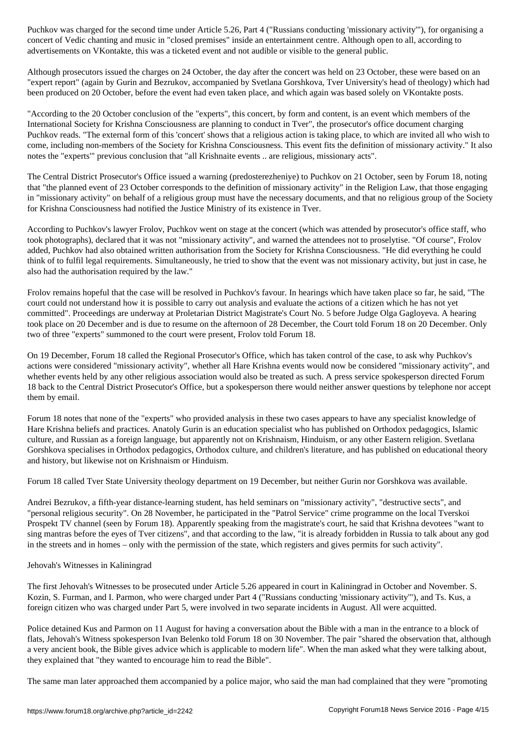concert of Vedic chanting and music in "closed premises" inside an entertainment centre. Although open to all, according to advertisements on VKontakte, this was a ticketed event and not audible or visible to the general public.

Although prosecutors issued the charges on 24 October, the day after the concert was held on 23 October, these were based on an "expert report" (again by Gurin and Bezrukov, accompanied by Svetlana Gorshkova, Tver University's head of theology) which had been produced on 20 October, before the event had even taken place, and which again was based solely on VKontakte posts.

"According to the 20 October conclusion of the "experts", this concert, by form and content, is an event which members of the International Society for Krishna Consciousness are planning to conduct in Tver", the prosecutor's office document charging Puchkov reads. "The external form of this 'concert' shows that a religious action is taking place, to which are invited all who wish to come, including non-members of the Society for Krishna Consciousness. This event fits the definition of missionary activity." It also notes the "experts'" previous conclusion that "all Krishnaite events .. are religious, missionary acts".

The Central District Prosecutor's Office issued a warning (predosterezheniye) to Puchkov on 21 October, seen by Forum 18, noting that "the planned event of 23 October corresponds to the definition of missionary activity" in the Religion Law, that those engaging in "missionary activity" on behalf of a religious group must have the necessary documents, and that no religious group of the Society for Krishna Consciousness had notified the Justice Ministry of its existence in Tver.

According to Puchkov's lawyer Frolov, Puchkov went on stage at the concert (which was attended by prosecutor's office staff, who took photographs), declared that it was not "missionary activity", and warned the attendees not to proselytise. "Of course", Frolov added, Puchkov had also obtained written authorisation from the Society for Krishna Consciousness. "He did everything he could think of to fulfil legal requirements. Simultaneously, he tried to show that the event was not missionary activity, but just in case, he also had the authorisation required by the law."

Frolov remains hopeful that the case will be resolved in Puchkov's favour. In hearings which have taken place so far, he said, "The court could not understand how it is possible to carry out analysis and evaluate the actions of a citizen which he has not yet committed". Proceedings are underway at Proletarian District Magistrate's Court No. 5 before Judge Olga Gagloyeva. A hearing took place on 20 December and is due to resume on the afternoon of 28 December, the Court told Forum 18 on 20 December. Only two of three "experts" summoned to the court were present, Frolov told Forum 18.

On 19 December, Forum 18 called the Regional Prosecutor's Office, which has taken control of the case, to ask why Puchkov's actions were considered "missionary activity", whether all Hare Krishna events would now be considered "missionary activity", and whether events held by any other religious association would also be treated as such. A press service spokesperson directed Forum 18 back to the Central District Prosecutor's Office, but a spokesperson there would neither answer questions by telephone nor accept them by email.

Forum 18 notes that none of the "experts" who provided analysis in these two cases appears to have any specialist knowledge of Hare Krishna beliefs and practices. Anatoly Gurin is an education specialist who has published on Orthodox pedagogics, Islamic culture, and Russian as a foreign language, but apparently not on Krishnaism, Hinduism, or any other Eastern religion. Svetlana Gorshkova specialises in Orthodox pedagogics, Orthodox culture, and children's literature, and has published on educational theory and history, but likewise not on Krishnaism or Hinduism.

Forum 18 called Tver State University theology department on 19 December, but neither Gurin nor Gorshkova was available.

Andrei Bezrukov, a fifth-year distance-learning student, has held seminars on "missionary activity", "destructive sects", and "personal religious security". On 28 November, he participated in the "Patrol Service" crime programme on the local Tverskoi Prospekt TV channel (seen by Forum 18). Apparently speaking from the magistrate's court, he said that Krishna devotees "want to sing mantras before the eyes of Tver citizens", and that according to the law, "it is already forbidden in Russia to talk about any god in the streets and in homes – only with the permission of the state, which registers and gives permits for such activity".

## Jehovah's Witnesses in Kaliningrad

The first Jehovah's Witnesses to be prosecuted under Article 5.26 appeared in court in Kaliningrad in October and November. S. Kozin, S. Furman, and I. Parmon, who were charged under Part 4 ("Russians conducting 'missionary activity'"), and Ts. Kus, a foreign citizen who was charged under Part 5, were involved in two separate incidents in August. All were acquitted.

Police detained Kus and Parmon on 11 August for having a conversation about the Bible with a man in the entrance to a block of flats, Jehovah's Witness spokesperson Ivan Belenko told Forum 18 on 30 November. The pair "shared the observation that, although a very ancient book, the Bible gives advice which is applicable to modern life". When the man asked what they were talking about, they explained that "they wanted to encourage him to read the Bible".

The same man later approached them accompanied by a police major, who said the man had complained that they were "promoting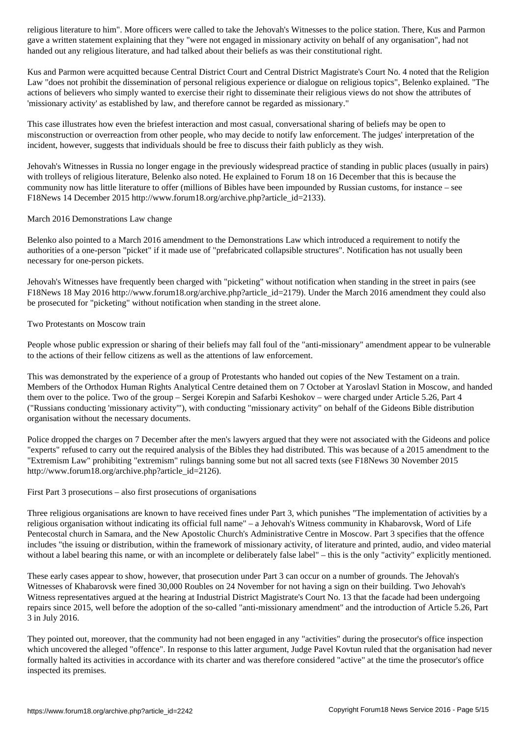gave a written statement explaining that they "were not engaged in missionary activity on behalf of any organisation", had not handed out any religious literature, and had talked about their beliefs as was their constitutional right.

Kus and Parmon were acquitted because Central District Court and Central District Magistrate's Court No. 4 noted that the Religion Law "does not prohibit the dissemination of personal religious experience or dialogue on religious topics", Belenko explained. "The actions of believers who simply wanted to exercise their right to disseminate their religious views do not show the attributes of 'missionary activity' as established by law, and therefore cannot be regarded as missionary."

This case illustrates how even the briefest interaction and most casual, conversational sharing of beliefs may be open to misconstruction or overreaction from other people, who may decide to notify law enforcement. The judges' interpretation of the incident, however, suggests that individuals should be free to discuss their faith publicly as they wish.

Jehovah's Witnesses in Russia no longer engage in the previously widespread practice of standing in public places (usually in pairs) with trolleys of religious literature, Belenko also noted. He explained to Forum 18 on 16 December that this is because the community now has little literature to offer (millions of Bibles have been impounded by Russian customs, for instance – see F18News 14 December 2015 http://www.forum18.org/archive.php?article\_id=2133).

March 2016 Demonstrations Law change

Belenko also pointed to a March 2016 amendment to the Demonstrations Law which introduced a requirement to notify the authorities of a one-person "picket" if it made use of "prefabricated collapsible structures". Notification has not usually been necessary for one-person pickets.

Jehovah's Witnesses have frequently been charged with "picketing" without notification when standing in the street in pairs (see F18News 18 May 2016 http://www.forum18.org/archive.php?article\_id=2179). Under the March 2016 amendment they could also be prosecuted for "picketing" without notification when standing in the street alone.

Two Protestants on Moscow train

People whose public expression or sharing of their beliefs may fall foul of the "anti-missionary" amendment appear to be vulnerable to the actions of their fellow citizens as well as the attentions of law enforcement.

This was demonstrated by the experience of a group of Protestants who handed out copies of the New Testament on a train. Members of the Orthodox Human Rights Analytical Centre detained them on 7 October at Yaroslavl Station in Moscow, and handed them over to the police. Two of the group – Sergei Korepin and Safarbi Keshokov – were charged under Article 5.26, Part 4 ("Russians conducting 'missionary activity'"), with conducting "missionary activity" on behalf of the Gideons Bible distribution organisation without the necessary documents.

Police dropped the charges on 7 December after the men's lawyers argued that they were not associated with the Gideons and police "experts" refused to carry out the required analysis of the Bibles they had distributed. This was because of a 2015 amendment to the "Extremism Law" prohibiting "extremism" rulings banning some but not all sacred texts (see F18News 30 November 2015 http://www.forum18.org/archive.php?article\_id=2126).

First Part 3 prosecutions – also first prosecutions of organisations

Three religious organisations are known to have received fines under Part 3, which punishes "The implementation of activities by a religious organisation without indicating its official full name" – a Jehovah's Witness community in Khabarovsk, Word of Life Pentecostal church in Samara, and the New Apostolic Church's Administrative Centre in Moscow. Part 3 specifies that the offence includes "the issuing or distribution, within the framework of missionary activity, of literature and printed, audio, and video material without a label bearing this name, or with an incomplete or deliberately false label" – this is the only "activity" explicitly mentioned.

These early cases appear to show, however, that prosecution under Part 3 can occur on a number of grounds. The Jehovah's Witnesses of Khabarovsk were fined 30,000 Roubles on 24 November for not having a sign on their building. Two Jehovah's Witness representatives argued at the hearing at Industrial District Magistrate's Court No. 13 that the facade had been undergoing repairs since 2015, well before the adoption of the so-called "anti-missionary amendment" and the introduction of Article 5.26, Part 3 in July 2016.

They pointed out, moreover, that the community had not been engaged in any "activities" during the prosecutor's office inspection which uncovered the alleged "offence". In response to this latter argument, Judge Pavel Kovtun ruled that the organisation had never formally halted its activities in accordance with its charter and was therefore considered "active" at the time the prosecutor's office inspected its premises.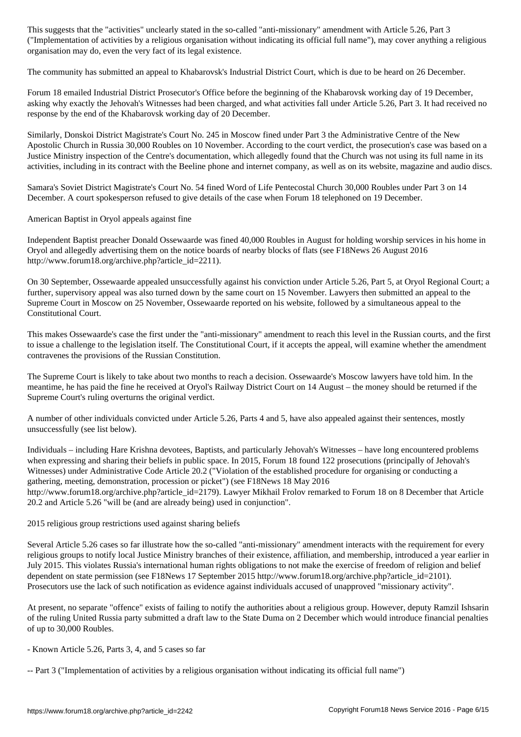$\blacksquare$  and a religious organisation with indicating indicating indicating its official function with  $\blacksquare$ organisation may do, even the very fact of its legal existence.

The community has submitted an appeal to Khabarovsk's Industrial District Court, which is due to be heard on 26 December.

Forum 18 emailed Industrial District Prosecutor's Office before the beginning of the Khabarovsk working day of 19 December, asking why exactly the Jehovah's Witnesses had been charged, and what activities fall under Article 5.26, Part 3. It had received no response by the end of the Khabarovsk working day of 20 December.

Similarly, Donskoi District Magistrate's Court No. 245 in Moscow fined under Part 3 the Administrative Centre of the New Apostolic Church in Russia 30,000 Roubles on 10 November. According to the court verdict, the prosecution's case was based on a Justice Ministry inspection of the Centre's documentation, which allegedly found that the Church was not using its full name in its activities, including in its contract with the Beeline phone and internet company, as well as on its website, magazine and audio discs.

Samara's Soviet District Magistrate's Court No. 54 fined Word of Life Pentecostal Church 30,000 Roubles under Part 3 on 14 December. A court spokesperson refused to give details of the case when Forum 18 telephoned on 19 December.

American Baptist in Oryol appeals against fine

Independent Baptist preacher Donald Ossewaarde was fined 40,000 Roubles in August for holding worship services in his home in Oryol and allegedly advertising them on the notice boards of nearby blocks of flats (see F18News 26 August 2016 http://www.forum18.org/archive.php?article\_id=2211).

On 30 September, Ossewaarde appealed unsuccessfully against his conviction under Article 5.26, Part 5, at Oryol Regional Court; a further, supervisory appeal was also turned down by the same court on 15 November. Lawyers then submitted an appeal to the Supreme Court in Moscow on 25 November, Ossewaarde reported on his website, followed by a simultaneous appeal to the Constitutional Court.

This makes Ossewaarde's case the first under the "anti-missionary" amendment to reach this level in the Russian courts, and the first to issue a challenge to the legislation itself. The Constitutional Court, if it accepts the appeal, will examine whether the amendment contravenes the provisions of the Russian Constitution.

The Supreme Court is likely to take about two months to reach a decision. Ossewaarde's Moscow lawyers have told him. In the meantime, he has paid the fine he received at Oryol's Railway District Court on 14 August – the money should be returned if the Supreme Court's ruling overturns the original verdict.

A number of other individuals convicted under Article 5.26, Parts 4 and 5, have also appealed against their sentences, mostly unsuccessfully (see list below).

Individuals – including Hare Krishna devotees, Baptists, and particularly Jehovah's Witnesses – have long encountered problems when expressing and sharing their beliefs in public space. In 2015, Forum 18 found 122 prosecutions (principally of Jehovah's Witnesses) under Administrative Code Article 20.2 ("Violation of the established procedure for organising or conducting a gathering, meeting, demonstration, procession or picket") (see F18News 18 May 2016 http://www.forum18.org/archive.php?article\_id=2179). Lawyer Mikhail Frolov remarked to Forum 18 on 8 December that Article 20.2 and Article 5.26 "will be (and are already being) used in conjunction".

2015 religious group restrictions used against sharing beliefs

Several Article 5.26 cases so far illustrate how the so-called "anti-missionary" amendment interacts with the requirement for every religious groups to notify local Justice Ministry branches of their existence, affiliation, and membership, introduced a year earlier in July 2015. This violates Russia's international human rights obligations to not make the exercise of freedom of religion and belief dependent on state permission (see F18News 17 September 2015 http://www.forum18.org/archive.php?article\_id=2101). Prosecutors use the lack of such notification as evidence against individuals accused of unapproved "missionary activity".

At present, no separate "offence" exists of failing to notify the authorities about a religious group. However, deputy Ramzil Ishsarin of the ruling United Russia party submitted a draft law to the State Duma on 2 December which would introduce financial penalties of up to 30,000 Roubles.

- Known Article 5.26, Parts 3, 4, and 5 cases so far

-- Part 3 ("Implementation of activities by a religious organisation without indicating its official full name")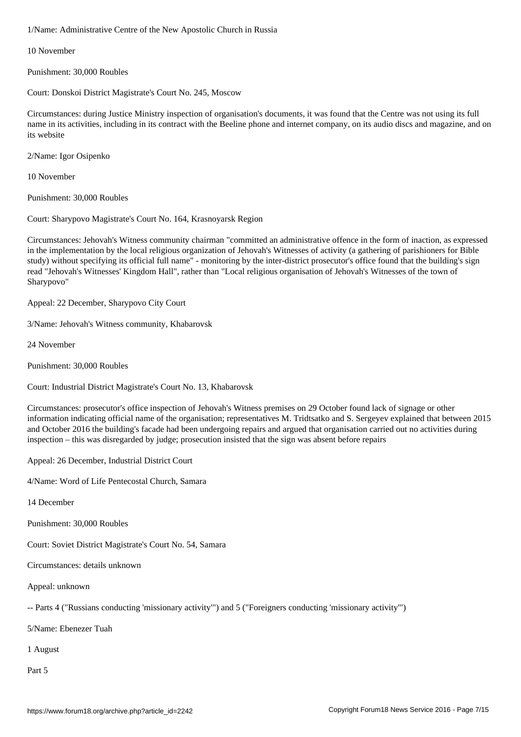10 November

Punishment: 30,000 Roubles

Court: Donskoi District Magistrate's Court No. 245, Moscow

Circumstances: during Justice Ministry inspection of organisation's documents, it was found that the Centre was not using its full name in its activities, including in its contract with the Beeline phone and internet company, on its audio discs and magazine, and on its website

2/Name: Igor Osipenko

10 November

Punishment: 30,000 Roubles

Court: Sharypovo Magistrate's Court No. 164, Krasnoyarsk Region

Circumstances: Jehovah's Witness community chairman "committed an administrative offence in the form of inaction, as expressed in the implementation by the local religious organization of Jehovah's Witnesses of activity (a gathering of parishioners for Bible study) without specifying its official full name" - monitoring by the inter-district prosecutor's office found that the building's sign read "Jehovah's Witnesses' Kingdom Hall", rather than "Local religious organisation of Jehovah's Witnesses of the town of Sharypovo"

Appeal: 22 December, Sharypovo City Court

3/Name: Jehovah's Witness community, Khabarovsk

24 November

Punishment: 30,000 Roubles

Court: Industrial District Magistrate's Court No. 13, Khabarovsk

Circumstances: prosecutor's office inspection of Jehovah's Witness premises on 29 October found lack of signage or other information indicating official name of the organisation; representatives M. Tridtsatko and S. Sergeyev explained that between 2015 and October 2016 the building's facade had been undergoing repairs and argued that organisation carried out no activities during inspection – this was disregarded by judge; prosecution insisted that the sign was absent before repairs

Appeal: 26 December, Industrial District Court

4/Name: Word of Life Pentecostal Church, Samara

14 December

Punishment: 30,000 Roubles

Court: Soviet District Magistrate's Court No. 54, Samara

Circumstances: details unknown

Appeal: unknown

-- Parts 4 ("Russians conducting 'missionary activity'") and 5 ("Foreigners conducting 'missionary activity'")

5/Name: Ebenezer Tuah

1 August

Part 5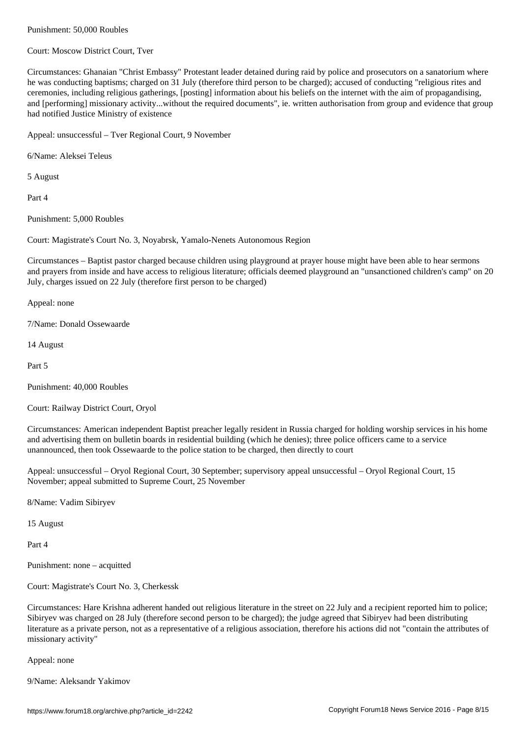Court: Moscow District Court, Tver

Circumstances: Ghanaian "Christ Embassy" Protestant leader detained during raid by police and prosecutors on a sanatorium where he was conducting baptisms; charged on 31 July (therefore third person to be charged); accused of conducting "religious rites and ceremonies, including religious gatherings, [posting] information about his beliefs on the internet with the aim of propagandising, and [performing] missionary activity...without the required documents", ie. written authorisation from group and evidence that group had notified Justice Ministry of existence

Appeal: unsuccessful – Tver Regional Court, 9 November

6/Name: Aleksei Teleus

5 August

Part 4

Punishment: 5,000 Roubles

Court: Magistrate's Court No. 3, Noyabrsk, Yamalo-Nenets Autonomous Region

Circumstances – Baptist pastor charged because children using playground at prayer house might have been able to hear sermons and prayers from inside and have access to religious literature; officials deemed playground an "unsanctioned children's camp" on 20 July, charges issued on 22 July (therefore first person to be charged)

Appeal: none

7/Name: Donald Ossewaarde

14 August

Part 5

Punishment: 40,000 Roubles

Court: Railway District Court, Oryol

Circumstances: American independent Baptist preacher legally resident in Russia charged for holding worship services in his home and advertising them on bulletin boards in residential building (which he denies); three police officers came to a service unannounced, then took Ossewaarde to the police station to be charged, then directly to court

Appeal: unsuccessful – Oryol Regional Court, 30 September; supervisory appeal unsuccessful – Oryol Regional Court, 15 November; appeal submitted to Supreme Court, 25 November

8/Name: Vadim Sibiryev

15 August

Part 4

Punishment: none – acquitted

Court: Magistrate's Court No. 3, Cherkessk

Circumstances: Hare Krishna adherent handed out religious literature in the street on 22 July and a recipient reported him to police; Sibiryev was charged on 28 July (therefore second person to be charged); the judge agreed that Sibiryev had been distributing literature as a private person, not as a representative of a religious association, therefore his actions did not "contain the attributes of missionary activity"

Appeal: none

9/Name: Aleksandr Yakimov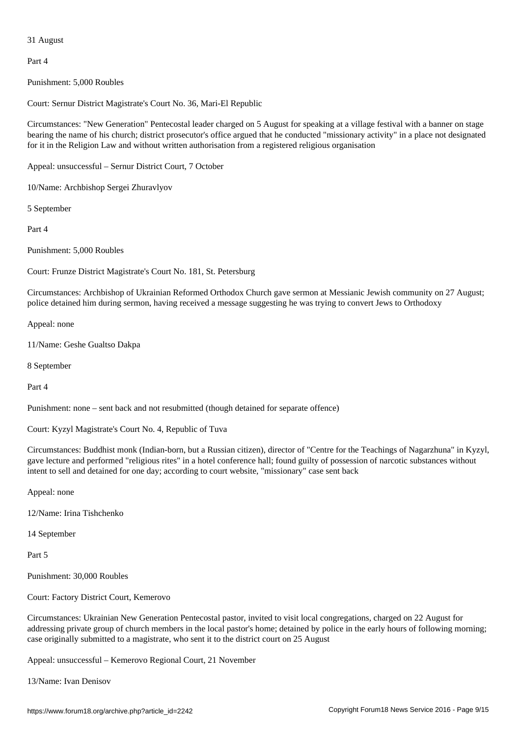Part 4

Punishment: 5,000 Roubles

Court: Sernur District Magistrate's Court No. 36, Mari-El Republic

Circumstances: "New Generation" Pentecostal leader charged on 5 August for speaking at a village festival with a banner on stage bearing the name of his church; district prosecutor's office argued that he conducted "missionary activity" in a place not designated for it in the Religion Law and without written authorisation from a registered religious organisation

Appeal: unsuccessful – Sernur District Court, 7 October

10/Name: Archbishop Sergei Zhuravlyov

5 September

Part 4

Punishment: 5,000 Roubles

Court: Frunze District Magistrate's Court No. 181, St. Petersburg

Circumstances: Archbishop of Ukrainian Reformed Orthodox Church gave sermon at Messianic Jewish community on 27 August; police detained him during sermon, having received a message suggesting he was trying to convert Jews to Orthodoxy

Appeal: none

11/Name: Geshe Gualtso Dakpa

8 September

Part 4

Punishment: none – sent back and not resubmitted (though detained for separate offence)

Court: Kyzyl Magistrate's Court No. 4, Republic of Tuva

Circumstances: Buddhist monk (Indian-born, but a Russian citizen), director of "Centre for the Teachings of Nagarzhuna" in Kyzyl, gave lecture and performed "religious rites" in a hotel conference hall; found guilty of possession of narcotic substances without intent to sell and detained for one day; according to court website, "missionary" case sent back

Appeal: none

12/Name: Irina Tishchenko

14 September

Part 5

Punishment: 30,000 Roubles

Court: Factory District Court, Kemerovo

Circumstances: Ukrainian New Generation Pentecostal pastor, invited to visit local congregations, charged on 22 August for addressing private group of church members in the local pastor's home; detained by police in the early hours of following morning; case originally submitted to a magistrate, who sent it to the district court on 25 August

Appeal: unsuccessful – Kemerovo Regional Court, 21 November

13/Name: Ivan Denisov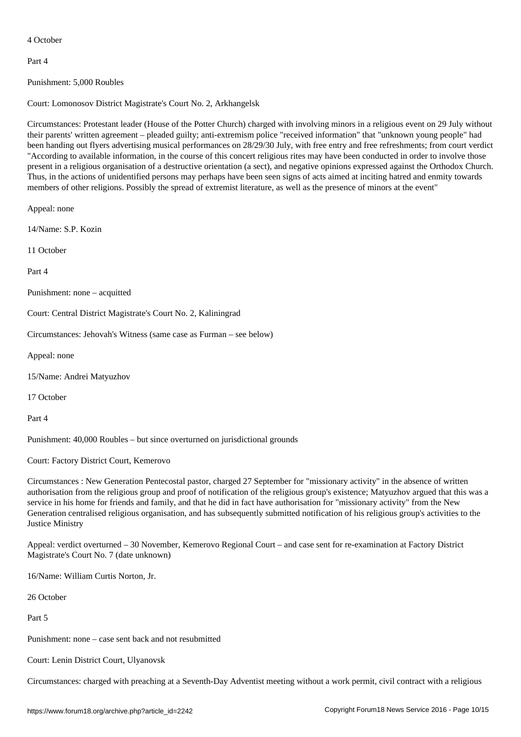Part 4

Punishment: 5,000 Roubles

Court: Lomonosov District Magistrate's Court No. 2, Arkhangelsk

Circumstances: Protestant leader (House of the Potter Church) charged with involving minors in a religious event on 29 July without their parents' written agreement – pleaded guilty; anti-extremism police "received information" that "unknown young people" had been handing out flyers advertising musical performances on 28/29/30 July, with free entry and free refreshments; from court verdict "According to available information, in the course of this concert religious rites may have been conducted in order to involve those present in a religious organisation of a destructive orientation (a sect), and negative opinions expressed against the Orthodox Church. Thus, in the actions of unidentified persons may perhaps have been seen signs of acts aimed at inciting hatred and enmity towards members of other religions. Possibly the spread of extremist literature, as well as the presence of minors at the event"

Appeal: none

14/Name: S.P. Kozin

11 October

Part 4

Punishment: none – acquitted

Court: Central District Magistrate's Court No. 2, Kaliningrad

Circumstances: Jehovah's Witness (same case as Furman – see below)

Appeal: none

15/Name: Andrei Matyuzhov

17 October

Part 4

Punishment: 40,000 Roubles – but since overturned on jurisdictional grounds

Court: Factory District Court, Kemerovo

Circumstances : New Generation Pentecostal pastor, charged 27 September for "missionary activity" in the absence of written authorisation from the religious group and proof of notification of the religious group's existence; Matyuzhov argued that this was a service in his home for friends and family, and that he did in fact have authorisation for "missionary activity" from the New Generation centralised religious organisation, and has subsequently submitted notification of his religious group's activities to the Justice Ministry

Appeal: verdict overturned – 30 November, Kemerovo Regional Court – and case sent for re-examination at Factory District Magistrate's Court No. 7 (date unknown)

16/Name: William Curtis Norton, Jr.

26 October

Part 5

Punishment: none – case sent back and not resubmitted

Court: Lenin District Court, Ulyanovsk

Circumstances: charged with preaching at a Seventh-Day Adventist meeting without a work permit, civil contract with a religious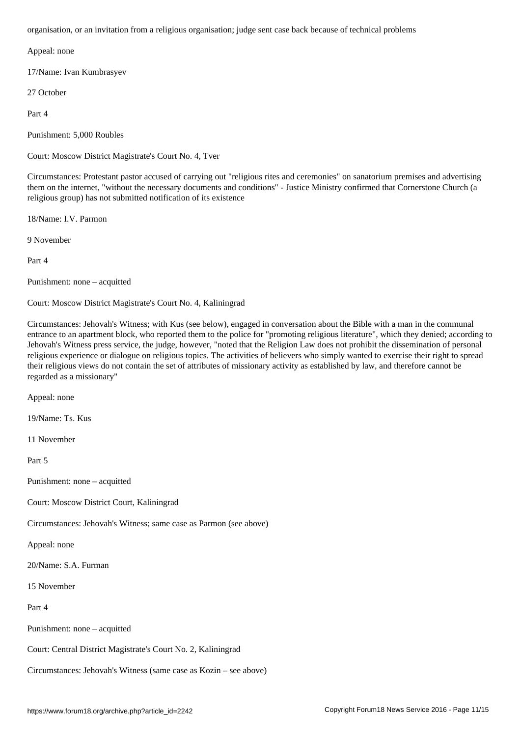Appeal: none

17/Name: Ivan Kumbrasyev

27 October

Part 4

Punishment: 5,000 Roubles

Court: Moscow District Magistrate's Court No. 4, Tver

Circumstances: Protestant pastor accused of carrying out "religious rites and ceremonies" on sanatorium premises and advertising them on the internet, "without the necessary documents and conditions" - Justice Ministry confirmed that Cornerstone Church (a religious group) has not submitted notification of its existence

18/Name: I.V. Parmon

9 November

Part 4

Punishment: none – acquitted

Court: Moscow District Magistrate's Court No. 4, Kaliningrad

Circumstances: Jehovah's Witness; with Kus (see below), engaged in conversation about the Bible with a man in the communal entrance to an apartment block, who reported them to the police for "promoting religious literature", which they denied; according to Jehovah's Witness press service, the judge, however, "noted that the Religion Law does not prohibit the dissemination of personal religious experience or dialogue on religious topics. The activities of believers who simply wanted to exercise their right to spread their religious views do not contain the set of attributes of missionary activity as established by law, and therefore cannot be regarded as a missionary"

Appeal: none

19/Name: Ts. Kus

11 November

Part 5

Punishment: none – acquitted

Court: Moscow District Court, Kaliningrad

Circumstances: Jehovah's Witness; same case as Parmon (see above)

Appeal: none

20/Name: S.A. Furman

15 November

Part 4

Punishment: none – acquitted

Court: Central District Magistrate's Court No. 2, Kaliningrad

Circumstances: Jehovah's Witness (same case as Kozin – see above)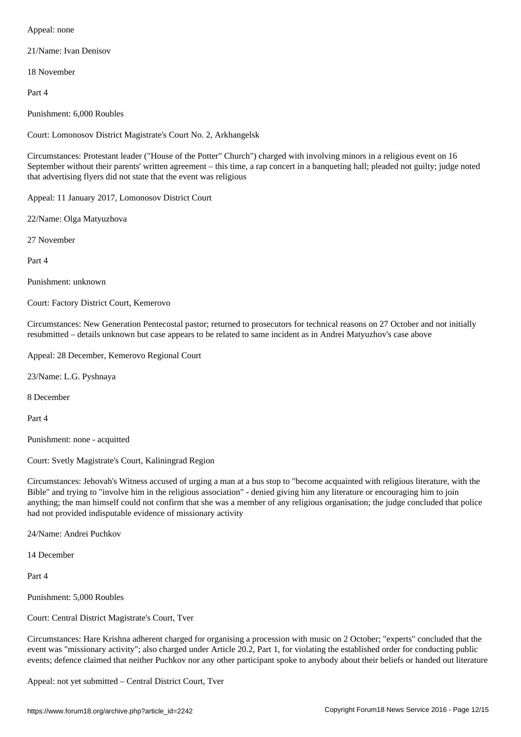21/Name: Ivan Denisov

18 November

Part 4

Punishment: 6,000 Roubles

Court: Lomonosov District Magistrate's Court No. 2, Arkhangelsk

Circumstances: Protestant leader ("House of the Potter" Church") charged with involving minors in a religious event on 16 September without their parents' written agreement – this time, a rap concert in a banqueting hall; pleaded not guilty; judge noted that advertising flyers did not state that the event was religious

Appeal: 11 January 2017, Lomonosov District Court

22/Name: Olga Matyuzhova

27 November

Part 4

Punishment: unknown

Court: Factory District Court, Kemerovo

Circumstances: New Generation Pentecostal pastor; returned to prosecutors for technical reasons on 27 October and not initially resubmitted – details unknown but case appears to be related to same incident as in Andrei Matyuzhov's case above

Appeal: 28 December, Kemerovo Regional Court

23/Name: L.G. Pyshnaya

8 December

Part 4

Punishment: none - acquitted

Court: Svetly Magistrate's Court, Kaliningrad Region

Circumstances: Jehovah's Witness accused of urging a man at a bus stop to "become acquainted with religious literature, with the Bible" and trying to "involve him in the religious association" - denied giving him any literature or encouraging him to join anything; the man himself could not confirm that she was a member of any religious organisation; the judge concluded that police had not provided indisputable evidence of missionary activity

24/Name: Andrei Puchkov

14 December

Part 4

Punishment: 5,000 Roubles

Court: Central District Magistrate's Court, Tver

Circumstances: Hare Krishna adherent charged for organising a procession with music on 2 October; "experts" concluded that the event was "missionary activity"; also charged under Article 20.2, Part 1, for violating the established order for conducting public events; defence claimed that neither Puchkov nor any other participant spoke to anybody about their beliefs or handed out literature

Appeal: not yet submitted – Central District Court, Tver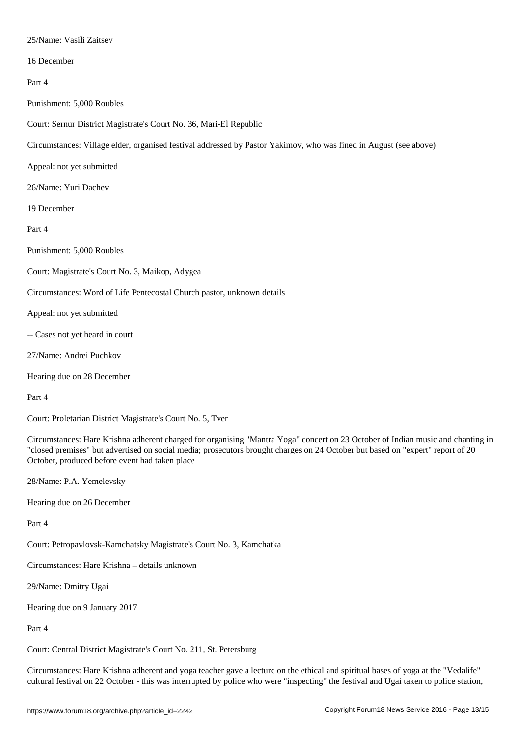16 December

Part 4

Punishment: 5,000 Roubles

Court: Sernur District Magistrate's Court No. 36, Mari-El Republic

Circumstances: Village elder, organised festival addressed by Pastor Yakimov, who was fined in August (see above)

Appeal: not yet submitted

26/Name: Yuri Dachev

19 December

## Part 4

Punishment: 5,000 Roubles

Court: Magistrate's Court No. 3, Maikop, Adygea

Circumstances: Word of Life Pentecostal Church pastor, unknown details

Appeal: not yet submitted

-- Cases not yet heard in court

27/Name: Andrei Puchkov

Hearing due on 28 December

Part 4

Court: Proletarian District Magistrate's Court No. 5, Tver

Circumstances: Hare Krishna adherent charged for organising "Mantra Yoga" concert on 23 October of Indian music and chanting in "closed premises" but advertised on social media; prosecutors brought charges on 24 October but based on "expert" report of 20 October, produced before event had taken place

28/Name: P.A. Yemelevsky

Hearing due on 26 December

Part 4

Court: Petropavlovsk-Kamchatsky Magistrate's Court No. 3, Kamchatka

Circumstances: Hare Krishna – details unknown

29/Name: Dmitry Ugai

Hearing due on 9 January 2017

Part 4

Court: Central District Magistrate's Court No. 211, St. Petersburg

Circumstances: Hare Krishna adherent and yoga teacher gave a lecture on the ethical and spiritual bases of yoga at the "Vedalife" cultural festival on 22 October - this was interrupted by police who were "inspecting" the festival and Ugai taken to police station,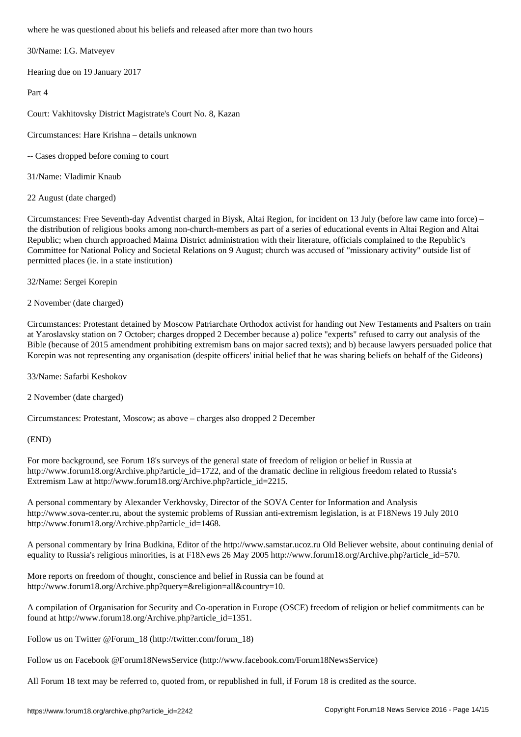30/Name: I.G. Matveyev

Hearing due on 19 January 2017

Part 4

Court: Vakhitovsky District Magistrate's Court No. 8, Kazan

Circumstances: Hare Krishna – details unknown

- -- Cases dropped before coming to court
- 31/Name: Vladimir Knaub
- 22 August (date charged)

Circumstances: Free Seventh-day Adventist charged in Biysk, Altai Region, for incident on 13 July (before law came into force) – the distribution of religious books among non-church-members as part of a series of educational events in Altai Region and Altai Republic; when church approached Maima District administration with their literature, officials complained to the Republic's Committee for National Policy and Societal Relations on 9 August; church was accused of "missionary activity" outside list of permitted places (ie. in a state institution)

32/Name: Sergei Korepin

2 November (date charged)

Circumstances: Protestant detained by Moscow Patriarchate Orthodox activist for handing out New Testaments and Psalters on train at Yaroslavsky station on 7 October; charges dropped 2 December because a) police "experts" refused to carry out analysis of the Bible (because of 2015 amendment prohibiting extremism bans on major sacred texts); and b) because lawyers persuaded police that Korepin was not representing any organisation (despite officers' initial belief that he was sharing beliefs on behalf of the Gideons)

33/Name: Safarbi Keshokov

2 November (date charged)

Circumstances: Protestant, Moscow; as above – charges also dropped 2 December

(END)

For more background, see Forum 18's surveys of the general state of freedom of religion or belief in Russia at http://www.forum18.org/Archive.php?article\_id=1722, and of the dramatic decline in religious freedom related to Russia's Extremism Law at http://www.forum18.org/Archive.php?article\_id=2215.

A personal commentary by Alexander Verkhovsky, Director of the SOVA Center for Information and Analysis http://www.sova-center.ru, about the systemic problems of Russian anti-extremism legislation, is at F18News 19 July 2010 http://www.forum18.org/Archive.php?article\_id=1468.

A personal commentary by Irina Budkina, Editor of the http://www.samstar.ucoz.ru Old Believer website, about continuing denial of equality to Russia's religious minorities, is at F18News 26 May 2005 http://www.forum18.org/Archive.php?article\_id=570.

More reports on freedom of thought, conscience and belief in Russia can be found at http://www.forum18.org/Archive.php?query=&religion=all&country=10.

A compilation of Organisation for Security and Co-operation in Europe (OSCE) freedom of religion or belief commitments can be found at http://www.forum18.org/Archive.php?article\_id=1351.

Follow us on Twitter @Forum\_18 (http://twitter.com/forum\_18)

Follow us on Facebook @Forum18NewsService (http://www.facebook.com/Forum18NewsService)

All Forum 18 text may be referred to, quoted from, or republished in full, if Forum 18 is credited as the source.